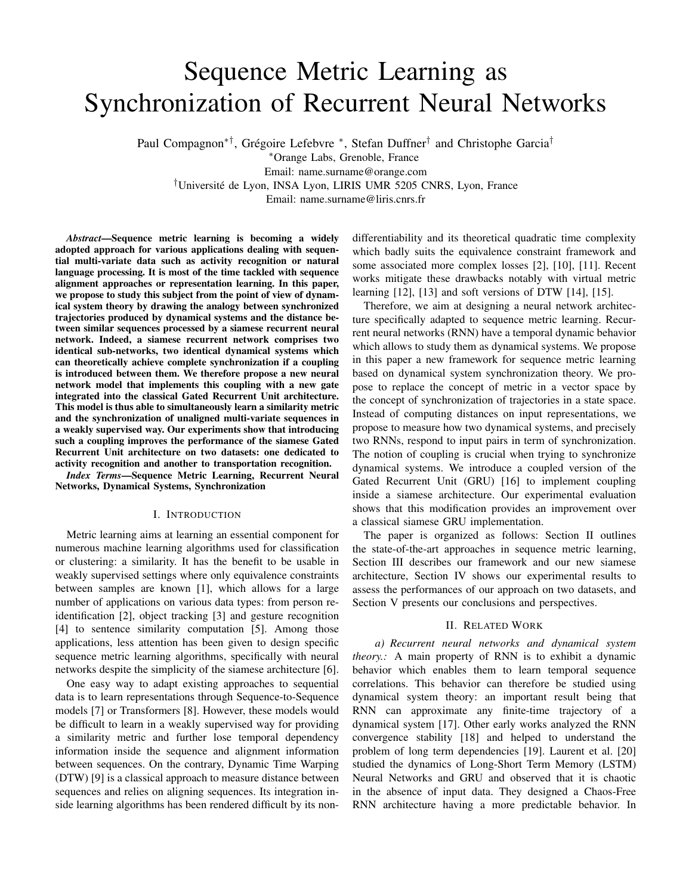# Sequence Metric Learning as Synchronization of Recurrent Neural Networks

Paul Compagnon<sup>∗†</sup>, Grégoire Lefebvre <sup>∗</sup>, Stefan Duffner<sup>†</sup> and Christophe Garcia<sup>†</sup>

<sup>∗</sup>Orange Labs, Grenoble, France Email: name.surname@orange.com

†Universite de Lyon, INSA Lyon, LIRIS UMR 5205 CNRS, Lyon, France ´

Email: name.surname@liris.cnrs.fr

*Abstract*—Sequence metric learning is becoming a widely adopted approach for various applications dealing with sequential multi-variate data such as activity recognition or natural language processing. It is most of the time tackled with sequence alignment approaches or representation learning. In this paper, we propose to study this subject from the point of view of dynamical system theory by drawing the analogy between synchronized trajectories produced by dynamical systems and the distance between similar sequences processed by a siamese recurrent neural network. Indeed, a siamese recurrent network comprises two identical sub-networks, two identical dynamical systems which can theoretically achieve complete synchronization if a coupling is introduced between them. We therefore propose a new neural network model that implements this coupling with a new gate integrated into the classical Gated Recurrent Unit architecture. This model is thus able to simultaneously learn a similarity metric and the synchronization of unaligned multi-variate sequences in a weakly supervised way. Our experiments show that introducing such a coupling improves the performance of the siamese Gated Recurrent Unit architecture on two datasets: one dedicated to activity recognition and another to transportation recognition.

*Index Terms*—Sequence Metric Learning, Recurrent Neural Networks, Dynamical Systems, Synchronization

## I. INTRODUCTION

Metric learning aims at learning an essential component for numerous machine learning algorithms used for classification or clustering: a similarity. It has the benefit to be usable in weakly supervised settings where only equivalence constraints between samples are known [1], which allows for a large number of applications on various data types: from person reidentification [2], object tracking [3] and gesture recognition [4] to sentence similarity computation [5]. Among those applications, less attention has been given to design specific sequence metric learning algorithms, specifically with neural networks despite the simplicity of the siamese architecture [6].

One easy way to adapt existing approaches to sequential data is to learn representations through Sequence-to-Sequence models [7] or Transformers [8]. However, these models would be difficult to learn in a weakly supervised way for providing a similarity metric and further lose temporal dependency information inside the sequence and alignment information between sequences. On the contrary, Dynamic Time Warping (DTW) [9] is a classical approach to measure distance between sequences and relies on aligning sequences. Its integration inside learning algorithms has been rendered difficult by its nondifferentiability and its theoretical quadratic time complexity which badly suits the equivalence constraint framework and some associated more complex losses [2], [10], [11]. Recent works mitigate these drawbacks notably with virtual metric learning [12], [13] and soft versions of DTW [14], [15].

Therefore, we aim at designing a neural network architecture specifically adapted to sequence metric learning. Recurrent neural networks (RNN) have a temporal dynamic behavior which allows to study them as dynamical systems. We propose in this paper a new framework for sequence metric learning based on dynamical system synchronization theory. We propose to replace the concept of metric in a vector space by the concept of synchronization of trajectories in a state space. Instead of computing distances on input representations, we propose to measure how two dynamical systems, and precisely two RNNs, respond to input pairs in term of synchronization. The notion of coupling is crucial when trying to synchronize dynamical systems. We introduce a coupled version of the Gated Recurrent Unit (GRU) [16] to implement coupling inside a siamese architecture. Our experimental evaluation shows that this modification provides an improvement over a classical siamese GRU implementation.

The paper is organized as follows: Section II outlines the state-of-the-art approaches in sequence metric learning, Section III describes our framework and our new siamese architecture, Section IV shows our experimental results to assess the performances of our approach on two datasets, and Section V presents our conclusions and perspectives.

## II. RELATED WORK

*a) Recurrent neural networks and dynamical system theory.:* A main property of RNN is to exhibit a dynamic behavior which enables them to learn temporal sequence correlations. This behavior can therefore be studied using dynamical system theory: an important result being that RNN can approximate any finite-time trajectory of a dynamical system [17]. Other early works analyzed the RNN convergence stability [18] and helped to understand the problem of long term dependencies [19]. Laurent et al. [20] studied the dynamics of Long-Short Term Memory (LSTM) Neural Networks and GRU and observed that it is chaotic in the absence of input data. They designed a Chaos-Free RNN architecture having a more predictable behavior. In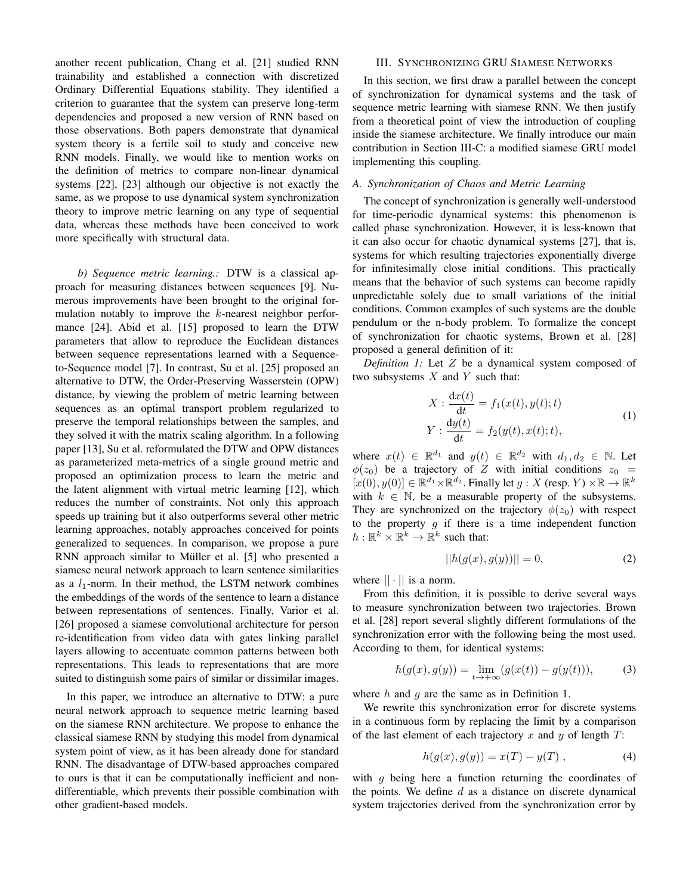another recent publication, Chang et al. [21] studied RNN trainability and established a connection with discretized Ordinary Differential Equations stability. They identified a criterion to guarantee that the system can preserve long-term dependencies and proposed a new version of RNN based on those observations. Both papers demonstrate that dynamical system theory is a fertile soil to study and conceive new RNN models. Finally, we would like to mention works on the definition of metrics to compare non-linear dynamical systems [22], [23] although our objective is not exactly the same, as we propose to use dynamical system synchronization theory to improve metric learning on any type of sequential data, whereas these methods have been conceived to work more specifically with structural data.

*b) Sequence metric learning.:* DTW is a classical approach for measuring distances between sequences [9]. Numerous improvements have been brought to the original formulation notably to improve the  $k$ -nearest neighbor performance [24]. Abid et al. [15] proposed to learn the DTW parameters that allow to reproduce the Euclidean distances between sequence representations learned with a Sequenceto-Sequence model [7]. In contrast, Su et al. [25] proposed an alternative to DTW, the Order-Preserving Wasserstein (OPW) distance, by viewing the problem of metric learning between sequences as an optimal transport problem regularized to preserve the temporal relationships between the samples, and they solved it with the matrix scaling algorithm. In a following paper [13], Su et al. reformulated the DTW and OPW distances as parameterized meta-metrics of a single ground metric and proposed an optimization process to learn the metric and the latent alignment with virtual metric learning [12], which reduces the number of constraints. Not only this approach speeds up training but it also outperforms several other metric learning approaches, notably approaches conceived for points generalized to sequences. In comparison, we propose a pure RNN approach similar to Müller et al. [5] who presented a siamese neural network approach to learn sentence similarities as a  $l_1$ -norm. In their method, the LSTM network combines the embeddings of the words of the sentence to learn a distance between representations of sentences. Finally, Varior et al. [26] proposed a siamese convolutional architecture for person re-identification from video data with gates linking parallel layers allowing to accentuate common patterns between both representations. This leads to representations that are more suited to distinguish some pairs of similar or dissimilar images.

In this paper, we introduce an alternative to DTW: a pure neural network approach to sequence metric learning based on the siamese RNN architecture. We propose to enhance the classical siamese RNN by studying this model from dynamical system point of view, as it has been already done for standard RNN. The disadvantage of DTW-based approaches compared to ours is that it can be computationally inefficient and nondifferentiable, which prevents their possible combination with other gradient-based models.

# III. SYNCHRONIZING GRU SIAMESE NETWORKS

In this section, we first draw a parallel between the concept of synchronization for dynamical systems and the task of sequence metric learning with siamese RNN. We then justify from a theoretical point of view the introduction of coupling inside the siamese architecture. We finally introduce our main contribution in Section III-C: a modified siamese GRU model implementing this coupling.

#### *A. Synchronization of Chaos and Metric Learning*

The concept of synchronization is generally well-understood for time-periodic dynamical systems: this phenomenon is called phase synchronization. However, it is less-known that it can also occur for chaotic dynamical systems [27], that is, systems for which resulting trajectories exponentially diverge for infinitesimally close initial conditions. This practically means that the behavior of such systems can become rapidly unpredictable solely due to small variations of the initial conditions. Common examples of such systems are the double pendulum or the n-body problem. To formalize the concept of synchronization for chaotic systems, Brown et al. [28] proposed a general definition of it:

*Definition 1:* Let Z be a dynamical system composed of two subsystems  $X$  and  $Y$  such that:

$$
X: \frac{dx(t)}{dt} = f_1(x(t), y(t); t)
$$
  
\n
$$
Y: \frac{dy(t)}{dt} = f_2(y(t), x(t); t),
$$
\n(1)

where  $x(t) \in \mathbb{R}^{d_1}$  and  $y(t) \in \mathbb{R}^{d_2}$  with  $d_1, d_2 \in \mathbb{N}$ . Let  $\phi(z_0)$  be a trajectory of Z with initial conditions  $z_0$  =  $[x(0), y(0)] \in \mathbb{R}^{d_1} \times \mathbb{R}^{d_2}$ . Finally let  $g: X$  (resp.  $Y) \times \mathbb{R} \to \mathbb{R}^k$ with  $k \in \mathbb{N}$ , be a measurable property of the subsystems. They are synchronized on the trajectory  $\phi(z_0)$  with respect to the property  $g$  if there is a time independent function  $h: \mathbb{R}^k \times \mathbb{R}^k \to \mathbb{R}^k$  such that:

$$
||h(g(x), g(y))|| = 0,
$$
\n(2)

where  $|| \cdot ||$  is a norm.

From this definition, it is possible to derive several ways to measure synchronization between two trajectories. Brown et al. [28] report several slightly different formulations of the synchronization error with the following being the most used. According to them, for identical systems:

$$
h(g(x), g(y)) = \lim_{t \to +\infty} (g(x(t)) - g(y(t))),
$$
 (3)

where  $h$  and  $q$  are the same as in Definition 1.

We rewrite this synchronization error for discrete systems in a continuous form by replacing the limit by a comparison of the last element of each trajectory x and y of length  $T$ :

$$
h(g(x), g(y)) = x(T) - y(T), \qquad (4)
$$

with  $q$  being here a function returning the coordinates of the points. We define  $d$  as a distance on discrete dynamical system trajectories derived from the synchronization error by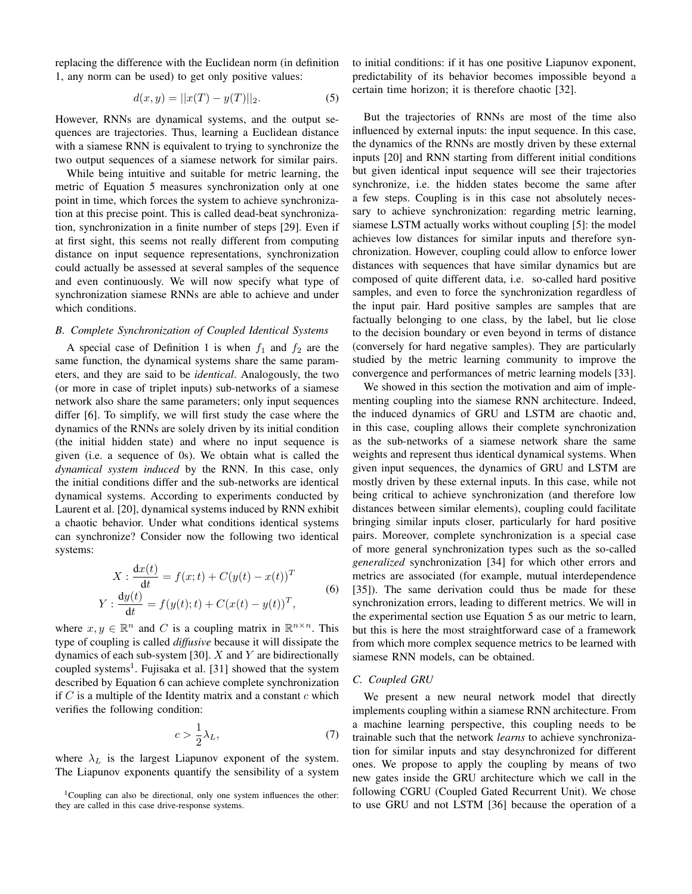replacing the difference with the Euclidean norm (in definition 1, any norm can be used) to get only positive values:

$$
d(x, y) = ||x(T) - y(T)||_2.
$$
 (5)

However, RNNs are dynamical systems, and the output sequences are trajectories. Thus, learning a Euclidean distance with a siamese RNN is equivalent to trying to synchronize the two output sequences of a siamese network for similar pairs.

While being intuitive and suitable for metric learning, the metric of Equation 5 measures synchronization only at one point in time, which forces the system to achieve synchronization at this precise point. This is called dead-beat synchronization, synchronization in a finite number of steps [29]. Even if at first sight, this seems not really different from computing distance on input sequence representations, synchronization could actually be assessed at several samples of the sequence and even continuously. We will now specify what type of synchronization siamese RNNs are able to achieve and under which conditions.

#### *B. Complete Synchronization of Coupled Identical Systems*

A special case of Definition 1 is when  $f_1$  and  $f_2$  are the same function, the dynamical systems share the same parameters, and they are said to be *identical*. Analogously, the two (or more in case of triplet inputs) sub-networks of a siamese network also share the same parameters; only input sequences differ [6]. To simplify, we will first study the case where the dynamics of the RNNs are solely driven by its initial condition (the initial hidden state) and where no input sequence is given (i.e. a sequence of 0s). We obtain what is called the *dynamical system induced* by the RNN. In this case, only the initial conditions differ and the sub-networks are identical dynamical systems. According to experiments conducted by Laurent et al. [20], dynamical systems induced by RNN exhibit a chaotic behavior. Under what conditions identical systems can synchronize? Consider now the following two identical systems:

$$
X: \frac{dx(t)}{dt} = f(x; t) + C(y(t) - x(t))^T
$$
  
\n
$$
Y: \frac{dy(t)}{dt} = f(y(t); t) + C(x(t) - y(t))^T,
$$
\n(6)

where  $x, y \in \mathbb{R}^n$  and C is a coupling matrix in  $\mathbb{R}^{n \times n}$ . This type of coupling is called *diffusive* because it will dissipate the dynamics of each sub-system [30].  $X$  and  $Y$  are bidirectionally coupled systems<sup>1</sup>. Fujisaka et al. [31] showed that the system described by Equation 6 can achieve complete synchronization if  $C$  is a multiple of the Identity matrix and a constant  $c$  which verifies the following condition:

$$
c > \frac{1}{2}\lambda_L,\tag{7}
$$

where  $\lambda_L$  is the largest Liapunov exponent of the system. The Liapunov exponents quantify the sensibility of a system

<sup>1</sup>Coupling can also be directional, only one system influences the other: they are called in this case drive-response systems.

to initial conditions: if it has one positive Liapunov exponent, predictability of its behavior becomes impossible beyond a certain time horizon; it is therefore chaotic [32].

But the trajectories of RNNs are most of the time also influenced by external inputs: the input sequence. In this case, the dynamics of the RNNs are mostly driven by these external inputs [20] and RNN starting from different initial conditions but given identical input sequence will see their trajectories synchronize, i.e. the hidden states become the same after a few steps. Coupling is in this case not absolutely necessary to achieve synchronization: regarding metric learning, siamese LSTM actually works without coupling [5]: the model achieves low distances for similar inputs and therefore synchronization. However, coupling could allow to enforce lower distances with sequences that have similar dynamics but are composed of quite different data, i.e. so-called hard positive samples, and even to force the synchronization regardless of the input pair. Hard positive samples are samples that are factually belonging to one class, by the label, but lie close to the decision boundary or even beyond in terms of distance (conversely for hard negative samples). They are particularly studied by the metric learning community to improve the convergence and performances of metric learning models [33].

We showed in this section the motivation and aim of implementing coupling into the siamese RNN architecture. Indeed, the induced dynamics of GRU and LSTM are chaotic and, in this case, coupling allows their complete synchronization as the sub-networks of a siamese network share the same weights and represent thus identical dynamical systems. When given input sequences, the dynamics of GRU and LSTM are mostly driven by these external inputs. In this case, while not being critical to achieve synchronization (and therefore low distances between similar elements), coupling could facilitate bringing similar inputs closer, particularly for hard positive pairs. Moreover, complete synchronization is a special case of more general synchronization types such as the so-called *generalized* synchronization [34] for which other errors and metrics are associated (for example, mutual interdependence [35]). The same derivation could thus be made for these synchronization errors, leading to different metrics. We will in the experimental section use Equation 5 as our metric to learn, but this is here the most straightforward case of a framework from which more complex sequence metrics to be learned with siamese RNN models, can be obtained.

#### *C. Coupled GRU*

We present a new neural network model that directly implements coupling within a siamese RNN architecture. From a machine learning perspective, this coupling needs to be trainable such that the network *learns* to achieve synchronization for similar inputs and stay desynchronized for different ones. We propose to apply the coupling by means of two new gates inside the GRU architecture which we call in the following CGRU (Coupled Gated Recurrent Unit). We chose to use GRU and not LSTM [36] because the operation of a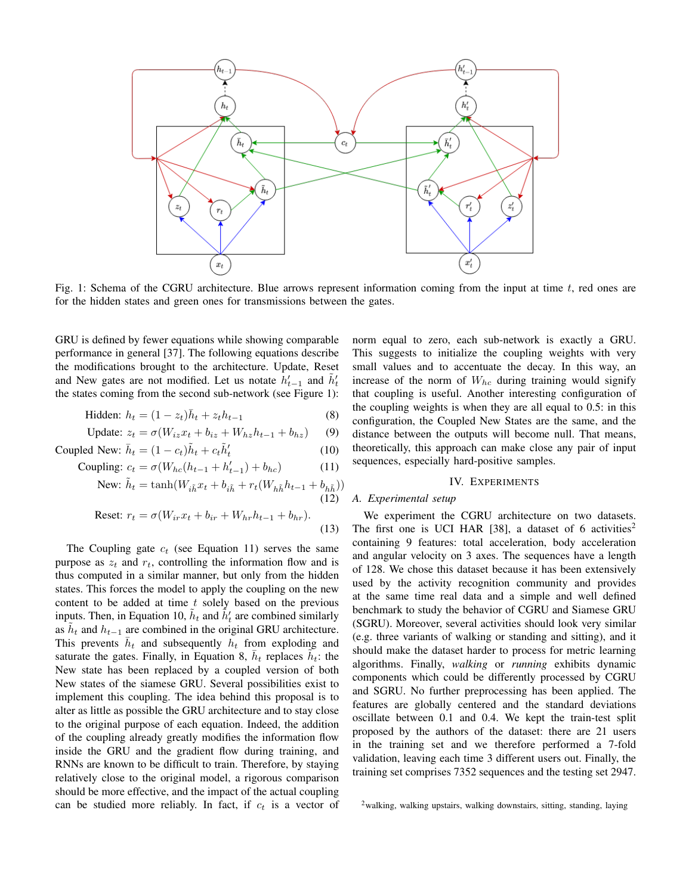

Fig. 1: Schema of the CGRU architecture. Blue arrows represent information coming from the input at time  $t$ , red ones are for the hidden states and green ones for transmissions between the gates.

GRU is defined by fewer equations while showing comparable performance in general [37]. The following equations describe the modifications brought to the architecture. Update, Reset and New gates are not modified. Let us notate  $h'_{t-1}$  and  $\tilde{h}'_t$ the states coming from the second sub-network (see Figure 1):

$$
\text{Hidden: } h_t = (1 - z_t)\bar{h}_t + z_t h_{t-1} \tag{8}
$$

$$
\text{Update: } z_t = \sigma(W_{iz}x_t + b_{iz} + W_{hz}h_{t-1} + b_{hz}) \tag{9}
$$

$$
\text{Coupled New: } \bar{h}_t = (1 - c_t)\tilde{h}_t + c_t \tilde{h}'_t \tag{10}
$$

Coupling: 
$$
c_t = \sigma(W_{hc}(h_{t-1} + h'_{t-1}) + b_{hc})
$$

\n(11)

New: 
$$
\tilde{h}_t = \tanh(W_{i\tilde{h}}x_t + b_{i\tilde{h}} + r_t(W_{h\tilde{h}}h_{t-1} + b_{h\tilde{h}}))
$$
\n(12)

$$
\text{Reset: } r_t = \sigma(W_{ir}x_t + b_{ir} + W_{hr}h_{t-1} + b_{hr}).\tag{13}
$$

The Coupling gate  $c_t$  (see Equation 11) serves the same purpose as  $z_t$  and  $r_t$ , controlling the information flow and is thus computed in a similar manner, but only from the hidden states. This forces the model to apply the coupling on the new content to be added at time  $t$  solely based on the previous inputs. Then, in Equation 10,  $\tilde{h}_t$  and  $\tilde{h}'_t$  are combined similarly as  $\tilde{h}_t$  and  $h_{t-1}$  are combined in the original GRU architecture. This prevents  $\bar{h}_t$  and subsequently  $\bar{h}_t$  from exploding and saturate the gates. Finally, in Equation 8,  $\bar{h}_t$  replaces  $\tilde{h}_t$ : the New state has been replaced by a coupled version of both New states of the siamese GRU. Several possibilities exist to implement this coupling. The idea behind this proposal is to alter as little as possible the GRU architecture and to stay close to the original purpose of each equation. Indeed, the addition of the coupling already greatly modifies the information flow inside the GRU and the gradient flow during training, and RNNs are known to be difficult to train. Therefore, by staying relatively close to the original model, a rigorous comparison should be more effective, and the impact of the actual coupling can be studied more reliably. In fact, if  $c_t$  is a vector of norm equal to zero, each sub-network is exactly a GRU. This suggests to initialize the coupling weights with very small values and to accentuate the decay. In this way, an increase of the norm of  $W_{hc}$  during training would signify that coupling is useful. Another interesting configuration of the coupling weights is when they are all equal to 0.5: in this configuration, the Coupled New States are the same, and the distance between the outputs will become null. That means, theoretically, this approach can make close any pair of input sequences, especially hard-positive samples.

### IV. EXPERIMENTS

# *A. Experimental setup*

We experiment the CGRU architecture on two datasets. The first one is UCI HAR [38], a dataset of 6 activities<sup>2</sup> containing 9 features: total acceleration, body acceleration and angular velocity on 3 axes. The sequences have a length of 128. We chose this dataset because it has been extensively used by the activity recognition community and provides at the same time real data and a simple and well defined benchmark to study the behavior of CGRU and Siamese GRU (SGRU). Moreover, several activities should look very similar (e.g. three variants of walking or standing and sitting), and it should make the dataset harder to process for metric learning algorithms. Finally, *walking* or *running* exhibits dynamic components which could be differently processed by CGRU and SGRU. No further preprocessing has been applied. The features are globally centered and the standard deviations oscillate between 0.1 and 0.4. We kept the train-test split proposed by the authors of the dataset: there are 21 users in the training set and we therefore performed a 7-fold validation, leaving each time 3 different users out. Finally, the training set comprises 7352 sequences and the testing set 2947.

<sup>2</sup>walking, walking upstairs, walking downstairs, sitting, standing, laying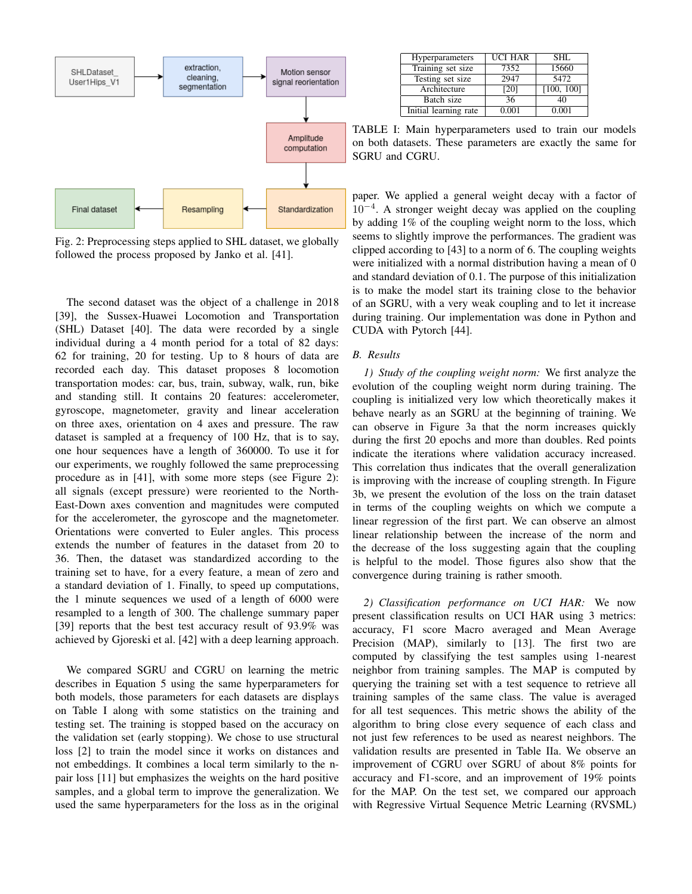

Fig. 2: Preprocessing steps applied to SHL dataset, we globally followed the process proposed by Janko et al. [41].

The second dataset was the object of a challenge in 2018 [39], the Sussex-Huawei Locomotion and Transportation (SHL) Dataset [40]. The data were recorded by a single individual during a 4 month period for a total of 82 days: 62 for training, 20 for testing. Up to 8 hours of data are recorded each day. This dataset proposes 8 locomotion transportation modes: car, bus, train, subway, walk, run, bike and standing still. It contains 20 features: accelerometer, gyroscope, magnetometer, gravity and linear acceleration on three axes, orientation on 4 axes and pressure. The raw dataset is sampled at a frequency of 100 Hz, that is to say, one hour sequences have a length of 360000. To use it for our experiments, we roughly followed the same preprocessing procedure as in [41], with some more steps (see Figure 2): all signals (except pressure) were reoriented to the North-East-Down axes convention and magnitudes were computed for the accelerometer, the gyroscope and the magnetometer. Orientations were converted to Euler angles. This process extends the number of features in the dataset from 20 to 36. Then, the dataset was standardized according to the training set to have, for a every feature, a mean of zero and a standard deviation of 1. Finally, to speed up computations, the 1 minute sequences we used of a length of 6000 were resampled to a length of 300. The challenge summary paper [39] reports that the best test accuracy result of 93.9% was achieved by Gjoreski et al. [42] with a deep learning approach.

We compared SGRU and CGRU on learning the metric describes in Equation 5 using the same hyperparameters for both models, those parameters for each datasets are displays on Table I along with some statistics on the training and testing set. The training is stopped based on the accuracy on the validation set (early stopping). We chose to use structural loss [2] to train the model since it works on distances and not embeddings. It combines a local term similarly to the npair loss [11] but emphasizes the weights on the hard positive samples, and a global term to improve the generalization. We used the same hyperparameters for the loss as in the original

| Hyperparameters       | <b>UCI HAR</b> | SHI.       |
|-----------------------|----------------|------------|
| Training set size     | 7352           | 15660      |
| Testing set size      | 2947           | 5472       |
| Architecture          | [20]           | [100, 100] |
| Batch size            | 36             | 40         |
| Initial learning rate | 0.001          | 0.001      |

TABLE I: Main hyperparameters used to train our models on both datasets. These parameters are exactly the same for SGRU and CGRU.

paper. We applied a general weight decay with a factor of 10−<sup>4</sup> . A stronger weight decay was applied on the coupling by adding 1% of the coupling weight norm to the loss, which seems to slightly improve the performances. The gradient was clipped according to [43] to a norm of 6. The coupling weights were initialized with a normal distribution having a mean of 0 and standard deviation of 0.1. The purpose of this initialization is to make the model start its training close to the behavior of an SGRU, with a very weak coupling and to let it increase during training. Our implementation was done in Python and CUDA with Pytorch [44].

# *B. Results*

*1) Study of the coupling weight norm:* We first analyze the evolution of the coupling weight norm during training. The coupling is initialized very low which theoretically makes it behave nearly as an SGRU at the beginning of training. We can observe in Figure 3a that the norm increases quickly during the first 20 epochs and more than doubles. Red points indicate the iterations where validation accuracy increased. This correlation thus indicates that the overall generalization is improving with the increase of coupling strength. In Figure 3b, we present the evolution of the loss on the train dataset in terms of the coupling weights on which we compute a linear regression of the first part. We can observe an almost linear relationship between the increase of the norm and the decrease of the loss suggesting again that the coupling is helpful to the model. Those figures also show that the convergence during training is rather smooth.

*2) Classification performance on UCI HAR:* We now present classification results on UCI HAR using 3 metrics: accuracy, F1 score Macro averaged and Mean Average Precision (MAP), similarly to [13]. The first two are computed by classifying the test samples using 1-nearest neighbor from training samples. The MAP is computed by querying the training set with a test sequence to retrieve all training samples of the same class. The value is averaged for all test sequences. This metric shows the ability of the algorithm to bring close every sequence of each class and not just few references to be used as nearest neighbors. The validation results are presented in Table IIa. We observe an improvement of CGRU over SGRU of about 8% points for accuracy and F1-score, and an improvement of 19% points for the MAP. On the test set, we compared our approach with Regressive Virtual Sequence Metric Learning (RVSML)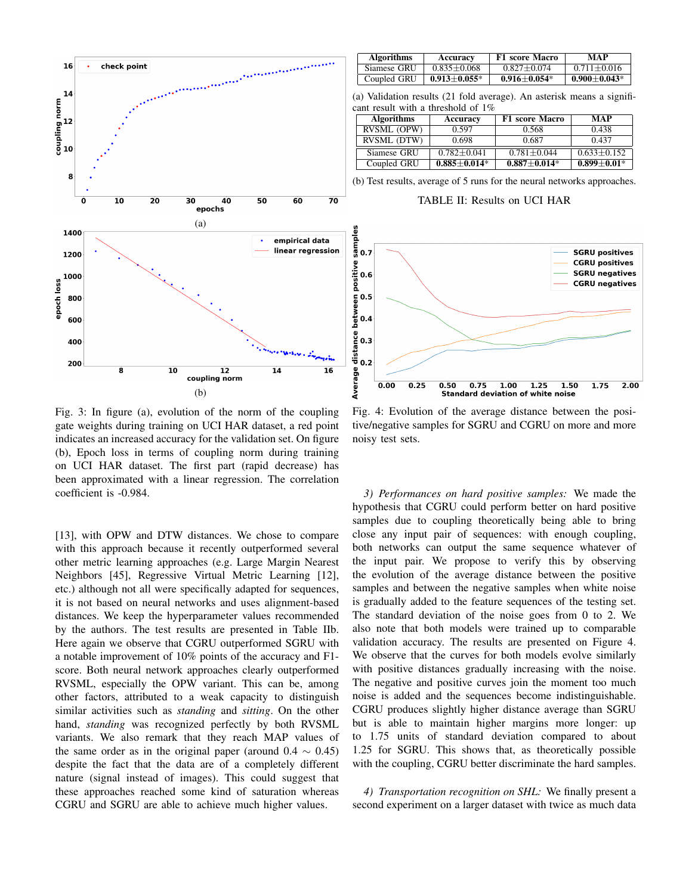

Fig. 3: In figure (a), evolution of the norm of the coupling gate weights during training on UCI HAR dataset, a red point indicates an increased accuracy for the validation set. On figure (b), Epoch loss in terms of coupling norm during training on UCI HAR dataset. The first part (rapid decrease) has been approximated with a linear regression. The correlation coefficient is -0.984.

[13], with OPW and DTW distances. We chose to compare with this approach because it recently outperformed several other metric learning approaches (e.g. Large Margin Nearest Neighbors [45], Regressive Virtual Metric Learning [12], etc.) although not all were specifically adapted for sequences, it is not based on neural networks and uses alignment-based distances. We keep the hyperparameter values recommended by the authors. The test results are presented in Table IIb. Here again we observe that CGRU outperformed SGRU with a notable improvement of 10% points of the accuracy and F1 score. Both neural network approaches clearly outperformed RVSML, especially the OPW variant. This can be, among other factors, attributed to a weak capacity to distinguish similar activities such as *standing* and *sitting*. On the other hand, *standing* was recognized perfectly by both RVSML variants. We also remark that they reach MAP values of the same order as in the original paper (around  $0.4 \sim 0.45$ ) despite the fact that the data are of a completely different nature (signal instead of images). This could suggest that these approaches reached some kind of saturation whereas CGRU and SGRU are able to achieve much higher values.

| <b>Algorithms</b> | Accuracy           | <b>F1</b> score Macro | MAP                |
|-------------------|--------------------|-----------------------|--------------------|
| Siamese GRU       | $0.835 \pm 0.068$  | $0.827 + 0.074$       | $0.711 + 0.016$    |
| Coupled GRU       | $0.913 \pm 0.055*$ | $0.916 \pm 0.054*$    | $0.900 \pm 0.043*$ |

(a) Validation results (21 fold average). An asterisk means a significant result with a threshold of 1%

| <b>Algorithms</b>  | Accuracy         | <b>F1</b> score Macro | <b>MAP</b>      |
|--------------------|------------------|-----------------------|-----------------|
| <b>RVSML (OPW)</b> | 0.597            | 0.568                 | 0.438           |
| RVSML (DTW)        | 0.698            | 0.687                 | 0.437           |
| Siamese GRU        | $0.782 + 0.041$  | $0.781 + 0.044$       | $0.633 + 0.152$ |
| Coupled GRU        | $0.885 + 0.014*$ | $0.887 + 0.014*$      | $0.899 + 0.01*$ |

(b) Test results, average of 5 runs for the neural networks approaches.

TABLE II: Results on UCI HAR



Fig. 4: Evolution of the average distance between the positive/negative samples for SGRU and CGRU on more and more noisy test sets.

*3) Performances on hard positive samples:* We made the hypothesis that CGRU could perform better on hard positive samples due to coupling theoretically being able to bring close any input pair of sequences: with enough coupling, both networks can output the same sequence whatever of the input pair. We propose to verify this by observing the evolution of the average distance between the positive samples and between the negative samples when white noise is gradually added to the feature sequences of the testing set. The standard deviation of the noise goes from 0 to 2. We also note that both models were trained up to comparable validation accuracy. The results are presented on Figure 4. We observe that the curves for both models evolve similarly with positive distances gradually increasing with the noise. The negative and positive curves join the moment too much noise is added and the sequences become indistinguishable. CGRU produces slightly higher distance average than SGRU but is able to maintain higher margins more longer: up to 1.75 units of standard deviation compared to about 1.25 for SGRU. This shows that, as theoretically possible with the coupling, CGRU better discriminate the hard samples.

*4) Transportation recognition on SHL:* We finally present a second experiment on a larger dataset with twice as much data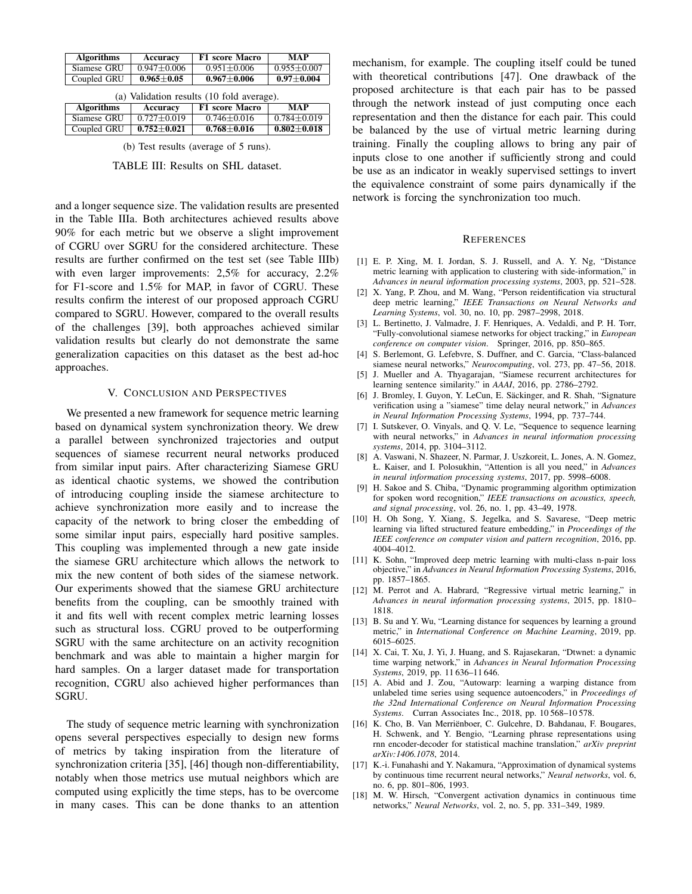| <b>Algorithms</b> | Accuracy         | <b>F1</b> score Macro | MAP               |
|-------------------|------------------|-----------------------|-------------------|
| Siamese GRU       | $0.947 + 0.006$  | $0.951 + 0.006$       | $0.955 \pm 0.007$ |
| Coupled GRU       | $0.965 \pm 0.05$ | $0.967 + 0.006$       | $0.97 + 0.004$    |

| (a) Validation results (10 fold average). |                       |                   |                   |
|-------------------------------------------|-----------------------|-------------------|-------------------|
| <b>Algorithms</b>                         | Accuracy              | F1 score Macro    | MAP               |
| Siamese GRU                               | $0.727 + 0.019$       | $0.746 + 0.016$   | $0.784 + 0.019$   |
| Coupled GRU                               | $0.752 \!\pm\! 0.021$ | $0.768 \pm 0.016$ | $0.802 \pm 0.018$ |

(b) Test results (average of 5 runs).

TABLE III: Results on SHL dataset.

and a longer sequence size. The validation results are presented in the Table IIIa. Both architectures achieved results above 90% for each metric but we observe a slight improvement of CGRU over SGRU for the considered architecture. These results are further confirmed on the test set (see Table IIIb) with even larger improvements: 2,5% for accuracy, 2.2% for F1-score and 1.5% for MAP, in favor of CGRU. These results confirm the interest of our proposed approach CGRU compared to SGRU. However, compared to the overall results of the challenges [39], both approaches achieved similar validation results but clearly do not demonstrate the same generalization capacities on this dataset as the best ad-hoc approaches.

## V. CONCLUSION AND PERSPECTIVES

We presented a new framework for sequence metric learning based on dynamical system synchronization theory. We drew a parallel between synchronized trajectories and output sequences of siamese recurrent neural networks produced from similar input pairs. After characterizing Siamese GRU as identical chaotic systems, we showed the contribution of introducing coupling inside the siamese architecture to achieve synchronization more easily and to increase the capacity of the network to bring closer the embedding of some similar input pairs, especially hard positive samples. This coupling was implemented through a new gate inside the siamese GRU architecture which allows the network to mix the new content of both sides of the siamese network. Our experiments showed that the siamese GRU architecture benefits from the coupling, can be smoothly trained with it and fits well with recent complex metric learning losses such as structural loss. CGRU proved to be outperforming SGRU with the same architecture on an activity recognition benchmark and was able to maintain a higher margin for hard samples. On a larger dataset made for transportation recognition, CGRU also achieved higher performances than SGRU.

The study of sequence metric learning with synchronization opens several perspectives especially to design new forms of metrics by taking inspiration from the literature of synchronization criteria [35], [46] though non-differentiability, notably when those metrics use mutual neighbors which are computed using explicitly the time steps, has to be overcome in many cases. This can be done thanks to an attention mechanism, for example. The coupling itself could be tuned with theoretical contributions [47]. One drawback of the proposed architecture is that each pair has to be passed through the network instead of just computing once each representation and then the distance for each pair. This could be balanced by the use of virtual metric learning during training. Finally the coupling allows to bring any pair of inputs close to one another if sufficiently strong and could be use as an indicator in weakly supervised settings to invert the equivalence constraint of some pairs dynamically if the network is forcing the synchronization too much.

#### **REFERENCES**

- [1] E. P. Xing, M. I. Jordan, S. J. Russell, and A. Y. Ng, "Distance metric learning with application to clustering with side-information," in *Advances in neural information processing systems*, 2003, pp. 521–528.
- [2] X. Yang, P. Zhou, and M. Wang, "Person reidentification via structural deep metric learning," *IEEE Transactions on Neural Networks and Learning Systems*, vol. 30, no. 10, pp. 2987–2998, 2018.
- [3] L. Bertinetto, J. Valmadre, J. F. Henriques, A. Vedaldi, and P. H. Torr, "Fully-convolutional siamese networks for object tracking," in *European conference on computer vision*. Springer, 2016, pp. 850–865.
- [4] S. Berlemont, G. Lefebvre, S. Duffner, and C. Garcia, "Class-balanced siamese neural networks," *Neurocomputing*, vol. 273, pp. 47–56, 2018.
- [5] J. Mueller and A. Thyagarajan, "Siamese recurrent architectures for learning sentence similarity." in *AAAI*, 2016, pp. 2786–2792.
- [6] J. Bromley, I. Guyon, Y. LeCun, E. Säckinger, and R. Shah, "Signature verification using a "siamese" time delay neural network," in *Advances in Neural Information Processing Systems*, 1994, pp. 737–744.
- [7] I. Sutskever, O. Vinyals, and Q. V. Le, "Sequence to sequence learning with neural networks," in *Advances in neural information processing systems*, 2014, pp. 3104–3112.
- [8] A. Vaswani, N. Shazeer, N. Parmar, J. Uszkoreit, L. Jones, A. N. Gomez, Ł. Kaiser, and I. Polosukhin, "Attention is all you need," in *Advances in neural information processing systems*, 2017, pp. 5998–6008.
- [9] H. Sakoe and S. Chiba, "Dynamic programming algorithm optimization for spoken word recognition," *IEEE transactions on acoustics, speech, and signal processing*, vol. 26, no. 1, pp. 43–49, 1978.
- [10] H. Oh Song, Y. Xiang, S. Jegelka, and S. Savarese, "Deep metric learning via lifted structured feature embedding," in *Proceedings of the IEEE conference on computer vision and pattern recognition*, 2016, pp. 4004–4012.
- [11] K. Sohn, "Improved deep metric learning with multi-class n-pair loss objective," in *Advances in Neural Information Processing Systems*, 2016, pp. 1857–1865.
- [12] M. Perrot and A. Habrard, "Regressive virtual metric learning," in *Advances in neural information processing systems*, 2015, pp. 1810– 1818.
- [13] B. Su and Y. Wu, "Learning distance for sequences by learning a ground metric," in *International Conference on Machine Learning*, 2019, pp. 6015–6025.
- [14] X. Cai, T. Xu, J. Yi, J. Huang, and S. Rajasekaran, "Dtwnet: a dynamic time warping network," in *Advances in Neural Information Processing Systems*, 2019, pp. 11 636–11 646.
- [15] A. Abid and J. Zou, "Autowarp: learning a warping distance from unlabeled time series using sequence autoencoders," in *Proceedings of the 32nd International Conference on Neural Information Processing Systems*. Curran Associates Inc., 2018, pp. 10 568–10 578.
- [16] K. Cho, B. Van Merriënboer, C. Gulcehre, D. Bahdanau, F. Bougares, H. Schwenk, and Y. Bengio, "Learning phrase representations using rnn encoder-decoder for statistical machine translation," *arXiv preprint arXiv:1406.1078*, 2014.
- [17] K.-i. Funahashi and Y. Nakamura, "Approximation of dynamical systems by continuous time recurrent neural networks," *Neural networks*, vol. 6, no. 6, pp. 801–806, 1993.
- [18] M. W. Hirsch, "Convergent activation dynamics in continuous time networks," *Neural Networks*, vol. 2, no. 5, pp. 331–349, 1989.